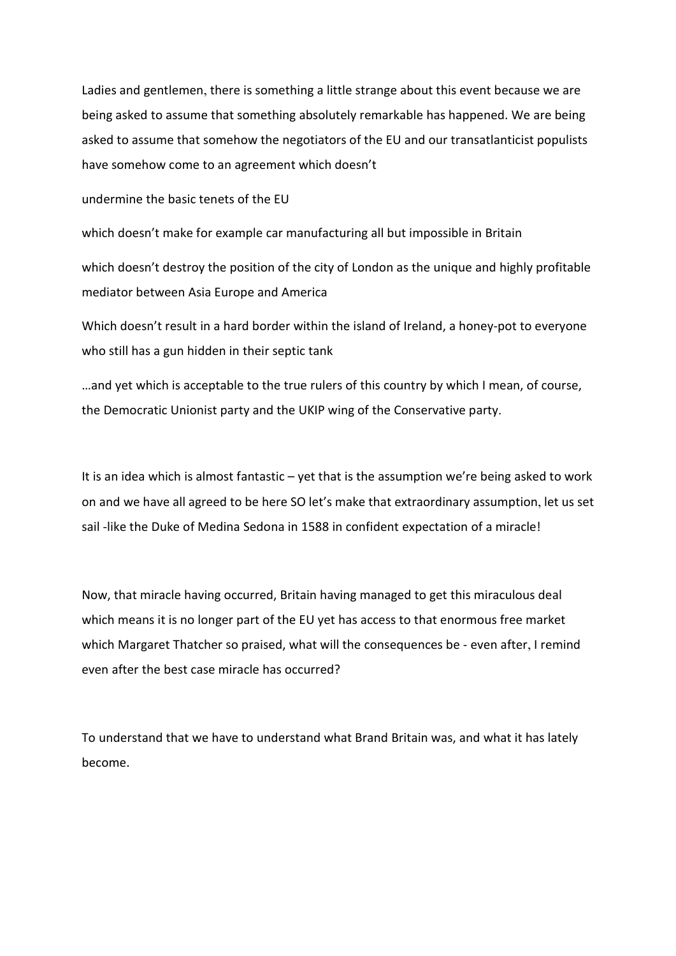Ladies and gentlemen, there is something a little strange about this event because we are being asked to assume that something absolutely remarkable has happened. We are being asked to assume that somehow the negotiators of the EU and our transatlanticist populists have somehow come to an agreement which doesn't

undermine the basic tenets of the EU

which doesn't make for example car manufacturing all but impossible in Britain

which doesn't destroy the position of the city of London as the unique and highly profitable mediator between Asia Europe and America

Which doesn't result in a hard border within the island of Ireland, a honey-pot to everyone who still has a gun hidden in their septic tank

…and yet which is acceptable to the true rulers of this country by which I mean, of course, the Democratic Unionist party and the UKIP wing of the Conservative party.

It is an idea which is almost fantastic – yet that is the assumption we're being asked to work on and we have all agreed to be here SO let's make that extraordinary assumption, let us set sail -like the Duke of Medina Sedona in 1588 in confident expectation of a miracle!

Now, that miracle having occurred, Britain having managed to get this miraculous deal which means it is no longer part of the EU yet has access to that enormous free market which Margaret Thatcher so praised, what will the consequences be - even after, I remind even after the best case miracle has occurred?

To understand that we have to understand what Brand Britain was, and what it has lately become.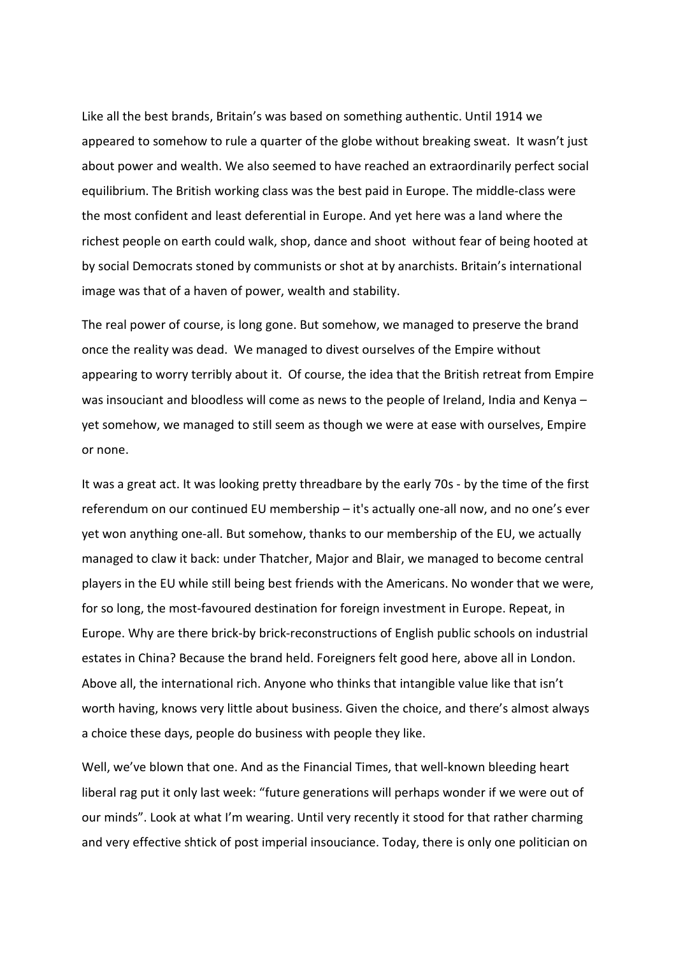Like all the best brands, Britain's was based on something authentic. Until 1914 we appeared to somehow to rule a quarter of the globe without breaking sweat. It wasn't just about power and wealth. We also seemed to have reached an extraordinarily perfect social equilibrium. The British working class was the best paid in Europe. The middle-class were the most confident and least deferential in Europe. And yet here was a land where the richest people on earth could walk, shop, dance and shoot without fear of being hooted at by social Democrats stoned by communists or shot at by anarchists. Britain's international image was that of a haven of power, wealth and stability.

The real power of course, is long gone. But somehow, we managed to preserve the brand once the reality was dead. We managed to divest ourselves of the Empire without appearing to worry terribly about it. Of course, the idea that the British retreat from Empire was insouciant and bloodless will come as news to the people of Ireland, India and Kenya – yet somehow, we managed to still seem as though we were at ease with ourselves, Empire or none.

It was a great act. It was looking pretty threadbare by the early 70s - by the time of the first referendum on our continued EU membership – it's actually one-all now, and no one's ever yet won anything one-all. But somehow, thanks to our membership of the EU, we actually managed to claw it back: under Thatcher, Major and Blair, we managed to become central players in the EU while still being best friends with the Americans. No wonder that we were, for so long, the most-favoured destination for foreign investment in Europe. Repeat, in Europe. Why are there brick-by brick-reconstructions of English public schools on industrial estates in China? Because the brand held. Foreigners felt good here, above all in London. Above all, the international rich. Anyone who thinks that intangible value like that isn't worth having, knows very little about business. Given the choice, and there's almost always a choice these days, people do business with people they like.

Well, we've blown that one. And as the Financial Times, that well-known bleeding heart liberal rag put it only last week: "future generations will perhaps wonder if we were out of our minds". Look at what I'm wearing. Until very recently it stood for that rather charming and very effective shtick of post imperial insouciance. Today, there is only one politician on